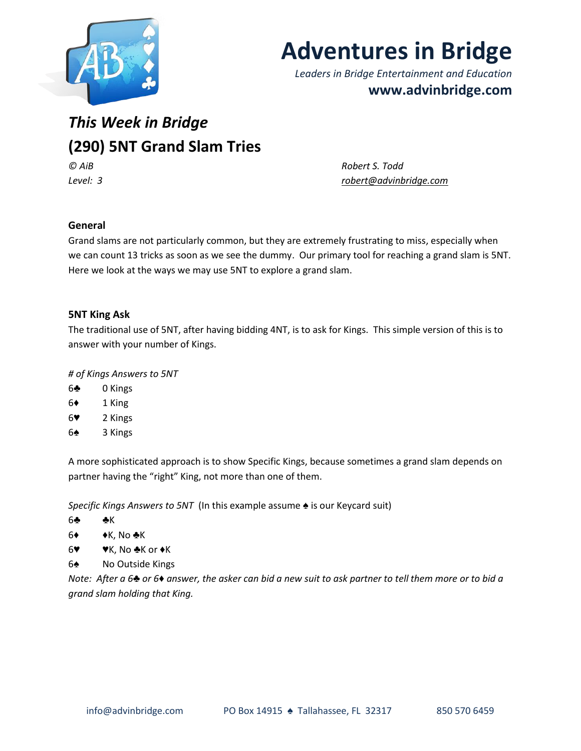

# **Adventures in Bridge**

*Leaders in Bridge Entertainment and Education* **www.advinbridge.com**

## *This Week in Bridge* **(290) 5NT Grand Slam Tries**

*© AiB Robert S. Todd Level: 3 [robert@advinbridge.com](mailto:robert@advinbridge.com)*

### **General**

Grand slams are not particularly common, but they are extremely frustrating to miss, especially when we can count 13 tricks as soon as we see the dummy. Our primary tool for reaching a grand slam is 5NT. Here we look at the ways we may use 5NT to explore a grand slam.

#### **5NT King Ask**

The traditional use of 5NT, after having bidding 4NT, is to ask for Kings. This simple version of this is to answer with your number of Kings.

*# of Kings Answers to 5NT*

- 6♣ 0 Kings
- 6♦ 1 King
- 6♥ 2 Kings
- 6♠ 3 Kings

A more sophisticated approach is to show Specific Kings, because sometimes a grand slam depends on partner having the "right" King, not more than one of them.

*Specific Kings Answers to 5NT* (In this example assume  $\triangle$  is our Keycard suit)

- 6♣ ♣K
- 6♦ ♦K, No ♣K
- $6\blacktriangledown$   $\blacktriangledown$  K, No  $\blacktriangle$ K or  $\blacktriangle$ K
- 6♠ No Outside Kings

*Note: After a 6♣ or 6♦ answer, the asker can bid a new suit to ask partner to tell them more or to bid a grand slam holding that King.*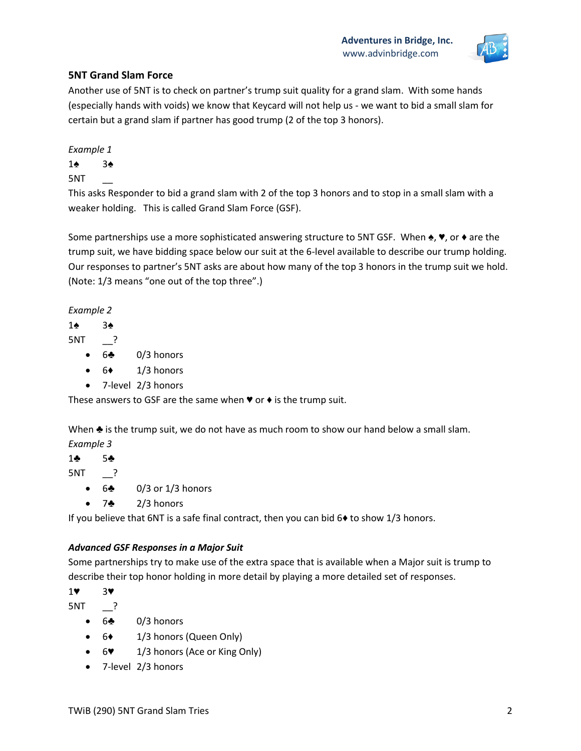

#### **5NT Grand Slam Force**

Another use of 5NT is to check on partner's trump suit quality for a grand slam. With some hands (especially hands with voids) we know that Keycard will not help us - we want to bid a small slam for certain but a grand slam if partner has good trump (2 of the top 3 honors).

*Example 1*

1♠ 3♠

5NT \_\_

This asks Responder to bid a grand slam with 2 of the top 3 honors and to stop in a small slam with a weaker holding. This is called Grand Slam Force (GSF).

Some partnerships use a more sophisticated answering structure to 5NT GSF. When  $\triangleq$ ,  $\Psi$ , or  $\blacklozenge$  are the trump suit, we have bidding space below our suit at the 6-level available to describe our trump holding. Our responses to partner's 5NT asks are about how many of the top 3 honors in the trump suit we hold. (Note: 1/3 means "one out of the top three".)

*Example 2*

1♠ 3♠

5NT \_\_?

- $6\clubsuit$  0/3 honors
- $\bullet$  6 $\bullet$  1/3 honors
- 7-level 2/3 honors

These answers to GSF are the same when  $\blacktriangledown$  or  $\blacklozenge$  is the trump suit.

When ♣ is the trump suit, we do not have as much room to show our hand below a small slam.

*Example 3*

1♣ 5♣

5NT \_\_?

- $\bullet$  6 $\bullet$  0/3 or 1/3 honors
- $7\clubsuit$  2/3 honors

If you believe that 6NT is a safe final contract, then you can bid 6♦ to show 1/3 honors.

#### *Advanced GSF Responses in a Major Suit*

Some partnerships try to make use of the extra space that is available when a Major suit is trump to describe their top honor holding in more detail by playing a more detailed set of responses.

1♥ 3♥

5NT \_\_?

- 6♣ 0/3 honors
- 6♦ 1/3 honors (Queen Only)
- 6♥ 1/3 honors (Ace or King Only)
- 7-level 2/3 honors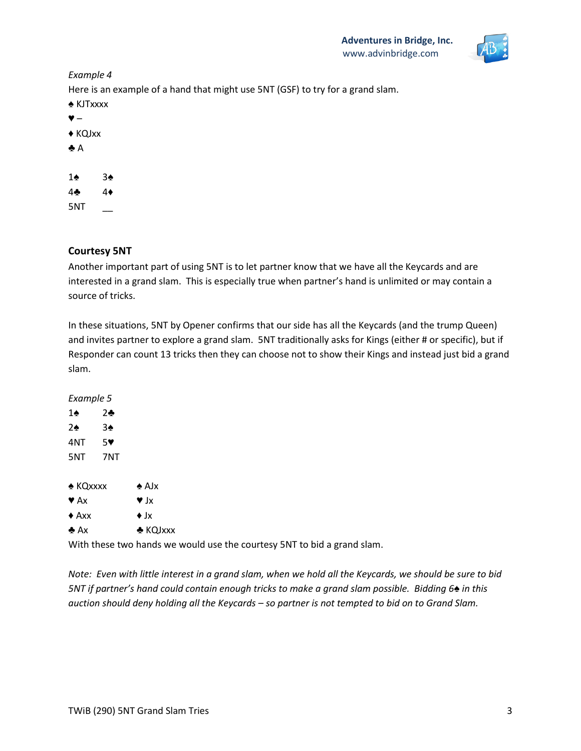

#### *Example 4*

Here is an example of a hand that might use 5NT (GSF) to try for a grand slam. ♠ KJTxxxx ♥ – ♦ KQJxx ♣ A 1♠ 3♠ 4♣ 4♦  $5NT$ 

#### **Courtesy 5NT**

Another important part of using 5NT is to let partner know that we have all the Keycards and are interested in a grand slam. This is especially true when partner's hand is unlimited or may contain a source of tricks.

In these situations, 5NT by Opener confirms that our side has all the Keycards (and the trump Queen) and invites partner to explore a grand slam. 5NT traditionally asks for Kings (either # or specific), but if Responder can count 13 tricks then they can choose not to show their Kings and instead just bid a grand slam.

*Example 5* 1♠ 2♣ 2♠ 3♠ 4NT 5♥ 5NT 7NT ♠ KQxxxx ♠ AJx  $\blacktriangledown$  Ax  $\blacktriangledown$  Jx  $\triangle$  Axx  $\triangle$  Jx ♣ Ax ♣ KQJxxx

With these two hands we would use the courtesy 5NT to bid a grand slam.

*Note: Even with little interest in a grand slam, when we hold all the Keycards, we should be sure to bid 5NT if partner's hand could contain enough tricks to make a grand slam possible. Bidding 6*♠ *in this auction should deny holding all the Keycards – so partner is not tempted to bid on to Grand Slam.*